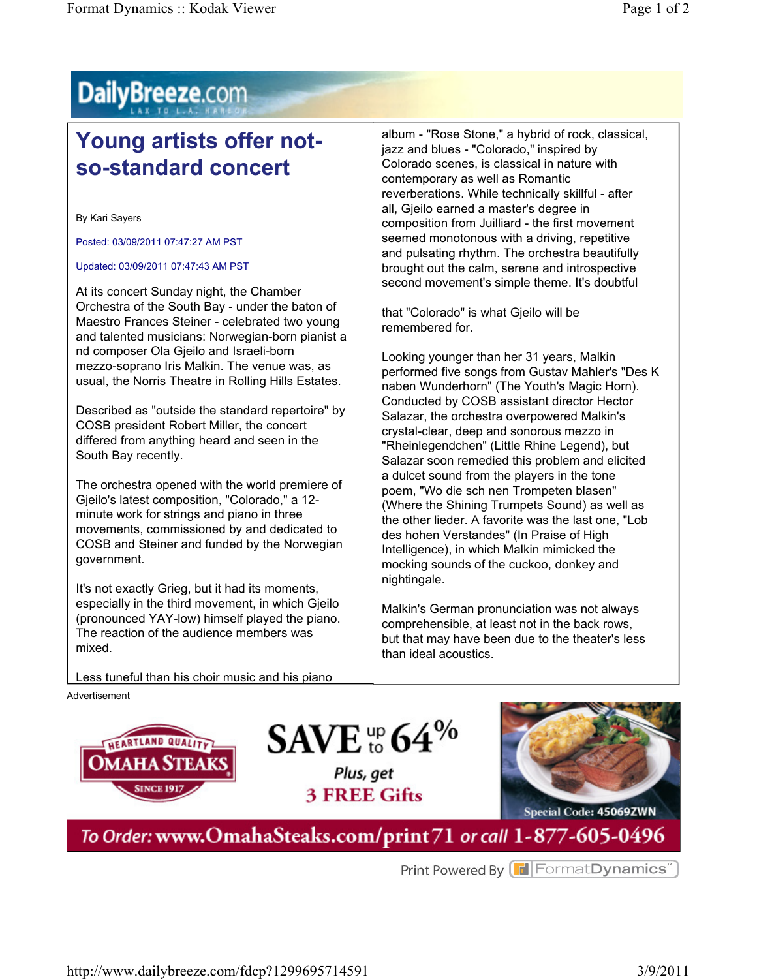## DailyBreeze.com

## **Young artists offer notso-standard concert**

By Kari Sayers

Posted: 03/09/2011 07:47:27 AM PST

## Updated: 03/09/2011 07:47:43 AM PST

At its concert Sunday night, the Chamber Orchestra of the South Bay - under the baton of Maestro Frances Steiner - celebrated two young and talented musicians: Norwegian-born pianist a nd composer Ola Gjeilo and Israeli-born mezzo-soprano Iris Malkin. The venue was, as usual, the Norris Theatre in Rolling Hills Estates.

Described as "outside the standard repertoire" by COSB president Robert Miller, the concert differed from anything heard and seen in the South Bay recently.

The orchestra opened with the world premiere of Gjeilo's latest composition, "Colorado," a 12 minute work for strings and piano in three movements, commissioned by and dedicated to COSB and Steiner and funded by the Norwegian government.

It's not exactly Grieg, but it had its moments, especially in the third movement, in which Gjeilo (pronounced YAY-low) himself played the piano. The reaction of the audience members was mixed.

album - "Rose Stone," a hybrid of rock, classical, jazz and blues - "Colorado," inspired by Colorado scenes, is classical in nature with contemporary as well as Romantic reverberations. While technically skillful - after all, Gjeilo earned a master's degree in composition from Juilliard - the first movement seemed monotonous with a driving, repetitive and pulsating rhythm. The orchestra beautifully brought out the calm, serene and introspective second movement's simple theme. It's doubtful

that "Colorado" is what Gjeilo will be remembered for.

Looking younger than her 31 years, Malkin performed five songs from Gustav Mahler's "Des K naben Wunderhorn" (The Youth's Magic Horn). Conducted by COSB assistant director Hector Salazar, the orchestra overpowered Malkin's crystal-clear, deep and sonorous mezzo in "Rheinlegendchen" (Little Rhine Legend), but Salazar soon remedied this problem and elicited a dulcet sound from the players in the tone poem, "Wo die sch nen Trompeten blasen" (Where the Shining Trumpets Sound) as well as the other lieder. A favorite was the last one, "Lob des hohen Verstandes" (In Praise of High Intelligence), in which Malkin mimicked the mocking sounds of the cuckoo, donkey and nightingale.

Malkin's German pronunciation was not always comprehensible, at least not in the back rows, but that may have been due to the theater's less than ideal acoustics.

Less tuneful than his choir music and his piano



Print Powered By **T** Format Dynamics<sup>"</sup>